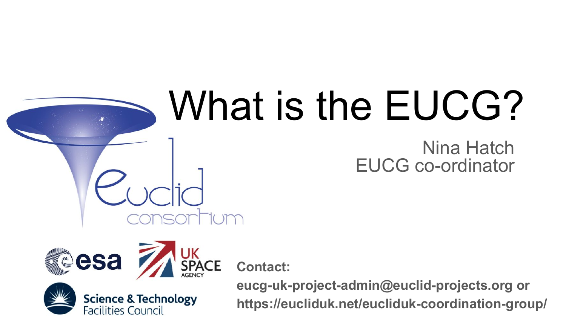# What is the EUCG? Nina Hatch EUCG co-ordinator



**Contact:** 



**eucg-uk-project-admin@euclid-projects.org or https://eucliduk.net/eucliduk-coordination-group/**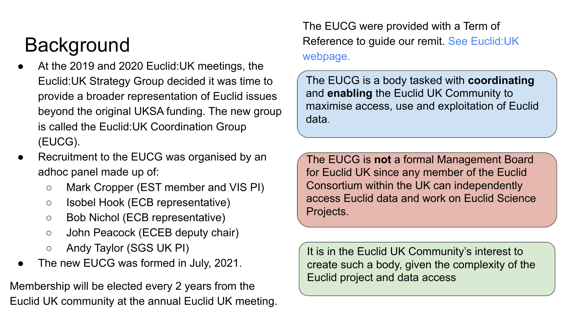# **Background**

- At the 2019 and 2020 Euclid: UK meetings, the Euclid:UK Strategy Group decided it was time to provide a broader representation of Euclid issues beyond the original UKSA funding. The new group is called the Euclid:UK Coordination Group (EUCG).
- Recruitment to the EUCG was organised by an adhoc panel made up of:
	- Mark Cropper (EST member and VIS PI)
	- Isobel Hook (ECB representative)
	- Bob Nichol (ECB representative)
	- John Peacock (ECEB deputy chair)
	- Andy Taylor (SGS UK PI)
- The new EUCG was formed in July, 2021.

Membership will be elected every 2 years from the Euclid UK community at the annual Euclid UK meeting.

The EUCG were provided with a Term of Reference to guide our remit. See Euclid:UK webpage.

The EUCG is a body tasked with **coordinating** and **enabling** the Euclid UK Community to maximise access, use and exploitation of Euclid data.

The EUCG is **not** a formal Management Board for Euclid UK since any member of the Euclid Consortium within the UK can independently access Euclid data and work on Euclid Science Projects.

It is in the Euclid UK Community's interest to create such a body, given the complexity of the Euclid project and data access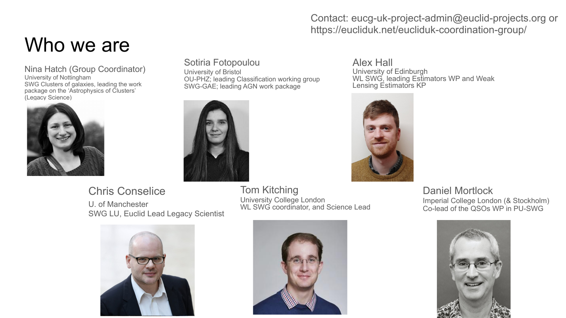Contact: eucg-uk-project-admin@euclid-projects.org or https://eucliduk.net/eucliduk-coordination-group/

### Who we are

Nina Hatch (Group Coordinator) University of Nottingham SWG Clusters of galaxies, leading the work package on the 'Astrophysics of Clusters' (Legacy Science)



Sotiria Fotopoulou University of Bristol OU-PHZ; leading Classification working group SWG-GAE; leading AGN work package



Alex Hall University of Edinburgh WL SWG, leading Estimators WP and Weak Lensing Estimators KP



Chris Conselice U. of Manchester SWG LU, Euclid Lead Legacy Scientist



Tom Kitching University College London WL SWG coordinator, and Science Lead



Daniel Mortlock Imperial College London (& Stockholm) Co-lead of the QSOs WP in PU-SWG

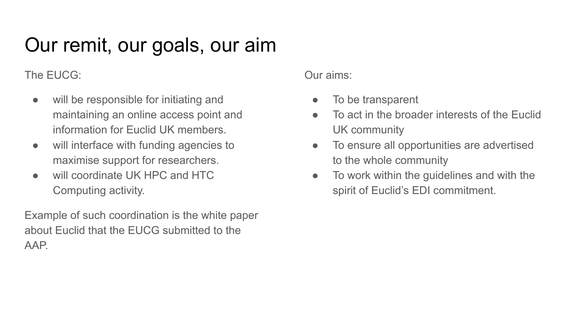# Our remit, our goals, our aim

#### The EUCG:

- will be responsible for initiating and maintaining an online access point and information for Euclid UK members.
- will interface with funding agencies to maximise support for researchers.
- will coordinate UK HPC and HTC Computing activity.

Example of such coordination is the white paper about Euclid that the EUCG submitted to the AAP.

Our aims:

- To be transparent
- To act in the broader interests of the Fuclid UK community
- To ensure all opportunities are advertised to the whole community
- To work within the guidelines and with the spirit of Euclid's EDI commitment.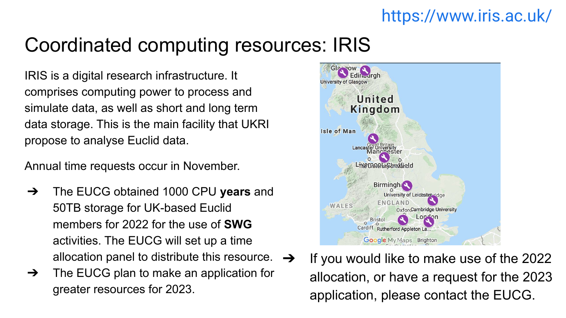#### <https://www.iris.ac.uk/>

## Coordinated computing resources: IRIS

IRIS is a digital research infrastructure. It comprises computing power to process and simulate data, as well as short and long term data storage. This is the main facility that UKRI propose to analyse Euclid data.

Annual time requests occur in November.

- ➔ The EUCG obtained 1000 CPU **years** and 50TB storage for UK-based Euclid members for 2022 for the use of **SWG** activities. The EUCG will set up a time allocation panel to distribute this resource.  $\rightarrow$
- $\rightarrow$  The EUCG plan to make an application for greater resources for 2023.



➔ If you would like to make use of the 2022 allocation, or have a request for the 2023 application, please contact the EUCG.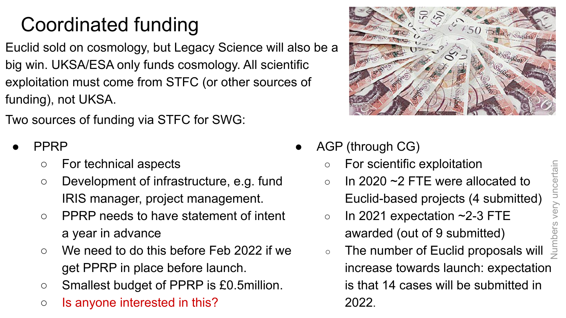# Coordinated funding

Euclid sold on cosmology, but Legacy Science will also be a big win. UKSA/ESA only funds cosmology. All scientific exploitation must come from STFC (or other sources of funding), not UKSA.

Two sources of funding via STFC for SWG:

- **PPRP** 
	- For technical aspects
	- Development of infrastructure, e.g. fund IRIS manager, project management.
	- PPRP needs to have statement of intent a year in advance
	- We need to do this before Feb 2022 if we get PPRP in place before launch.
	- Smallest budget of PPRP is £0.5million.
	- Is anyone interested in this?



- AGP (through CG)
	- For scientific exploitation
	- $\circ$  In 2020 ~2 FTE were allocated to Euclid-based projects (4 submitted)
	- $\circ$  In 2021 expectation ~2-3 FTE awarded (out of 9 submitted)
	- The number of Euclid proposals will increase towards launch: expectation is that 14 cases will be submitted in For scientific exploitation<br>In 2020 ~2 FTE were allocated to<br>Euclid-based projects (4 submitted)<br>In 2021 expectation ~2-3 FTE<br>awarded (out of 9 submitted)<br>The number of Euclid proposals will  $\frac{5}{2}$ <br>increase towards lau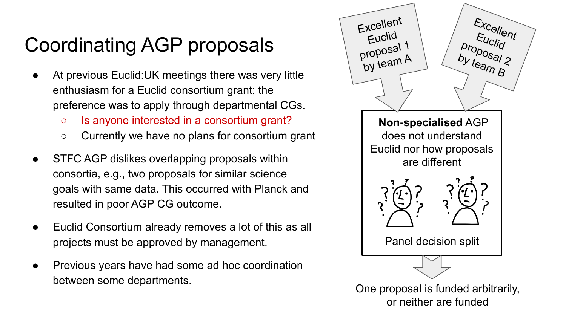# Coordinating AGP proposals

- At previous Euclid: UK meetings there was very little enthusiasm for a Euclid consortium grant; the preference was to apply through departmental CGs.
	- Is anyone interested in a consortium grant?
	- Currently we have no plans for consortium grant
- STFC AGP dislikes overlapping proposals within consortia, e.g., two proposals for similar science goals with same data. This occurred with Planck and resulted in poor AGP CG outcome.
- Euclid Consortium already removes a lot of this as all projects must be approved by management.
- Previous years have had some ad hoc coordination between some departments.

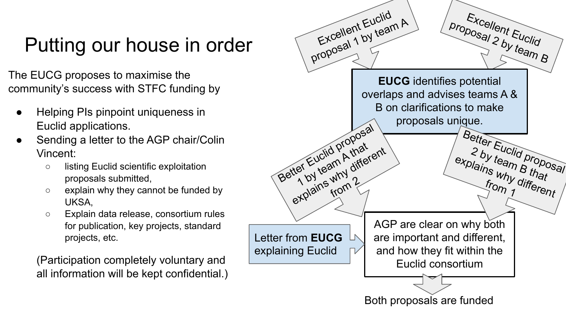# Putting our house in order

The EUCG proposes to maximise the community's success with STFC funding by

- Helping PIs pinpoint uniqueness in Euclid applications.
- Sending a letter to the AGP chair/Colin Vincent:
	- listing Euclid scientific exploitation proposals submitted,
	- explain why they cannot be funded by UKSA,
	- Explain data release, consortium rules for publication, key projects, standard projects, etc.

(Participation completely voluntary and all information will be kept confidential.)

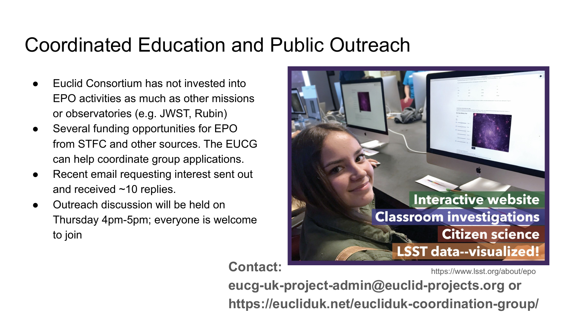### Coordinated Education and Public Outreach

- **Euclid Consortium has not invested into** EPO activities as much as other missions or observatories (e.g. JWST, Rubin)
- Several funding opportunities for EPO from STFC and other sources. The EUCG can help coordinate group applications.
- Recent email requesting interest sent out and received ~10 replies.
- Outreach discussion will be held on Thursday 4pm-5pm; everyone is welcome to join



**eucg-uk-project-admin@euclid-projects.org or https://eucliduk.net/eucliduk-coordination-group/**